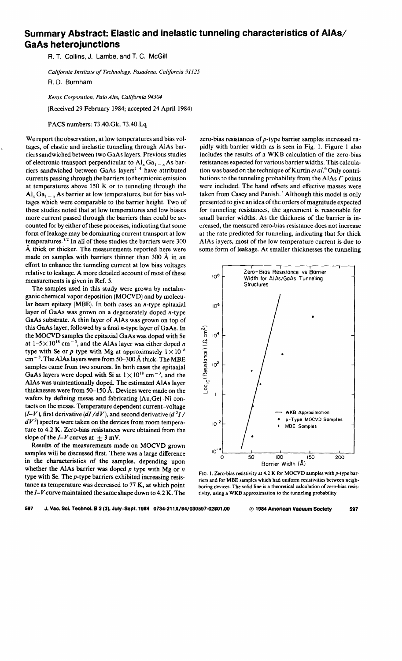## **Summary Abstract: Elastic and inelastic tunneling characteristics of AlAs/ GaAs heterojunctions**

R. T. Collins, J. Lambe, and T. C. McGill

*California Institute of Technology, Pasadena, California 9 Il25*  R. D. Burnham

*Xerox Corporation, Palo Alto, California 94304* 

(Received 29 February 1984; accepted 24 April 1984)

PACS numbers: 73.40.Gk, 73.40.Lq

We report the observation, at low temperatures and bias voltages, of elastic and inelastic tunneling through AlAs barriers sandwiched between two GaAs layers. Previous studies of electronic transport perpendicular to  $AI_x Ga_{1-x} As$  barriers sandwiched between GaAs layers<sup>1-4</sup> have attributed currents passing through the barriers to thermionic emission at temperatures above 150 K or to tunneling through the  $\mathbf{Al}_x \mathbf{Ga}_{1-x} \mathbf{As}$  barrier at low temperatures, but for bias voltages which were comparable to the barrier height. Two of these studies noted that at low temperatures and low biases more current passed through the barriers than could be accounted for by either of these processes, indicating that some form of leakage may be dominating current transport at low temperatures.<sup>1,2</sup> In all of these studies the barriers were 300 A thick or thicker. The measurements reported here were made on samples with barriers thinner than  $300 \text{ Å}$  in an effort to enhance the tunneling current at low bias voltages relative to leakage. A more detailed account of most of these measurements is given in Ref. 5.

The samples used in this study were grown by metalorganic chemical vapor deposition (MOCVD) and by molecular beam epitaxy (MBE). In both cases an  $n$ -type epitaxial layer of GaAs was grown on a degenerately doped n-type GaAs substrate. A thin layer of AlAs was grown on top of this GaAs layer, followed by a final  $n$ -type layer of GaAs. In the MOCVD samples the epitaxial GaAs was doped with Se at  $1-5 \times 10^{18}$  cm<sup>-3</sup>, and the AlAs layer was either doped *n* type with Se or  $p$  type with Mg at approximately  $1 \times 10^{18}$  $cm^{-3}$ . The AlAs layers were from 50–300 Å thick. The MBE samples came from two sources. In both cases the epitaxial GaAs layers were doped with Si at  $1 \times 10^{18}$  cm<sup>-3</sup>, and the AlAs was unintentionally doped. The estimated AlAs layer thicknesses were from 50-150 A. Devices were made on the wafers by defining mesas and fabricating (Au,Ge)-Ni contacts on the mesas. Temperature dependent current-voltage  $(I-V)$ , first derivative  $(dI/dV)$ , and second derivative  $(d^2I/V)$  $dV<sup>2</sup>$ ) spectra were taken on the devices from room temperature to 4.2 K. Zero-bias resistances were obtained from the slope of the  $I-V$  curves at  $\pm 3$  mV.

Results of the measurements made on MOCVD grown samples will be discussed first. There was a large difference in the characteristics of the samples, depending upon whether the AlAs barrier was doped *p* type with Mg or *n*  type with Se. The p-type barriers exhibited increasing resistance as temperature was decreased to 77 K, at which point the *I-V* curve maintained the same shape down to 4.2 K. The

zero-bias resistances of p-type barrier samples increased rapidly with barrier width as is seen in Fig. I. Figure I also includes the results of a WKB calculation of the zero-bias resistances expected for various barrier widths. This calculation was based on the technique of Kurtin *et al.*<sup>6</sup> Only contributions to the tunneling probability from the AlAs *r* points were included. The band offsets and effective masses were taken from Casey and Panish.<sup>7</sup> Although this model is only presented to give an idea of the orders of magnitude expected for tunneling resistances, the agreement is reasonable for small barrier widths. As the thickness of the barrier is increased, the measured zero-bias resistance does not increase at the rate predicted for tunneling, indicating that for thick AlAs layers, most of the low temperature current is due to some form of leakage. At smaller thicknesses the tunneling



FIG. 1. Zero-bias resistivity at 4.2 K for MOCVD samples with  $p$ -type barriers and for MBE samples which had uniform resistivities between neighboring devices. The solid line is a theoretical calculation of zero-bias resistivity, using a WKB approximation to the tunneling probability.

597 J. Vac. Sci. Technol. **8 2** (3), July-Sept. 1984 0734-211 X/84/030597-G2\$01.00 @ 1984 American Vacuum Society 597